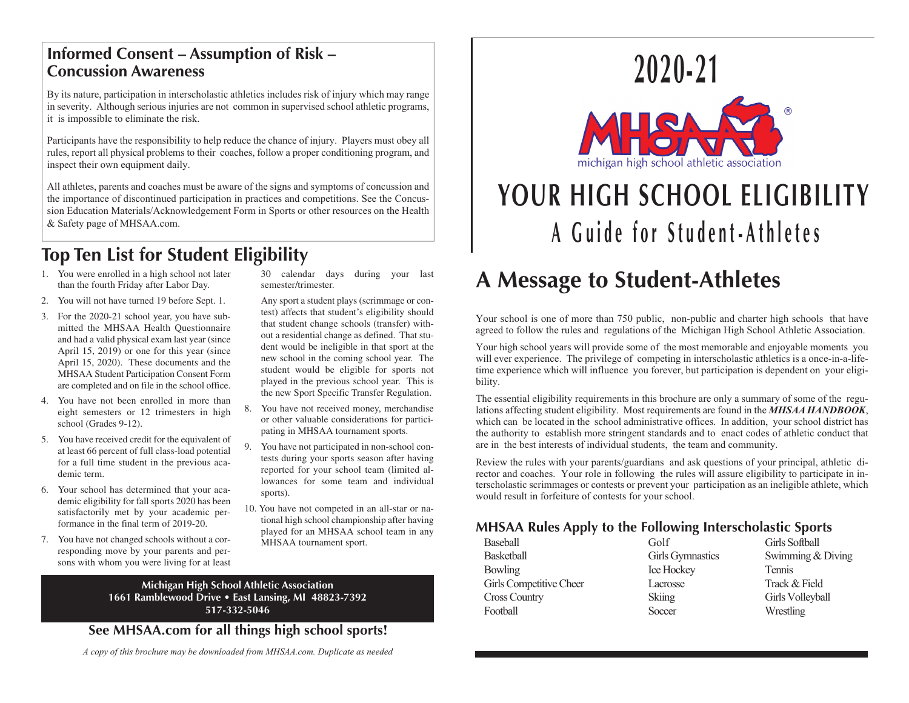### **Informed Consent – Assumption of Risk – Concussion Awareness**

By its nature, participation in interscholastic athletics includes risk of injury which may range in severity. Although serious injuries are not common in supervised school athletic programs, it is impossible to eliminate the risk.

Participants have the responsibility to help reduce the chance of injury. Players must obey all rules, report all physical problems to their coaches, follow a proper conditioning program, and inspect their own equipment daily.

All athletes, parents and coaches must be aware of the signs and symptoms of concussion and the importance of discontinued participation in practices and competitions. See the Concussion Education Materials/Acknowledgement Form in Sports or other resources on the Health & Safety page of MHSAA.com.

## **Top Ten List for Student Eligibility**

- 1. You were enrolled in a high school not later than the fourth Friday after Labor Day.
- 2. You will not have turned 19 before Sept. 1.
- 3. For the 2020-21 school year, you have submitted the MHSAA Health Questionnaire and had a valid physical exam last year (since April 15, 2019) or one for this year (since April 15, 2020). These documents and the MHSAA Student Participation Consent Form are completed and on file in the school office.
- 4. You have not been enrolled in more than eight semesters or 12 trimesters in high school (Grades 9-12).
- 5. You have received credit for the equivalent of at least 66 percent of full class-load potential for a full time student in the previous academic term.
- 6. Your school has determined that your academic eligibility for fall sports 2020 has been satisfactorily met by your academic performance in the final term of 2019-20.
- 7. You have not changed schools without a corresponding move by your parents and persons with whom you were living for at least

30 calendar days during your last semester/trimester.

- Any sport a student plays (scrimmage or contest) affects that student's eligibility should that student change schools (transfer) without a residential change as defined. That student would be ineligible in that sport at the new school in the coming school year. The student would be eligible for sports not played in the previous school year. This is the new Sport Specific Transfer Regulation.
- 8. You have not received money, merchandise or other valuable considerations for participating in MHSAA tournament sports.
- 9. You have not participated in non-school contests during your sports season after having reported for your school team (limited allowances for some team and individual sports).
- 10. You have not competed in an all-star or national high school championship after having played for an MHSAA school team in any MHSAA tournament sport.

**Michigan High School Athletic Association 1661 Ramblewood Drive • East Lansing, MI 48823-7392 517-332-5046**

**See MHSAA.com for all things high school sports!**





# **YOUR HIGH SCHOOL ELIGIBILITY A Guide for Student-Athletes**

## **A Message to Student-Athletes**

Your school is one of more than 750 public, non-public and charter high schools that have agreed to follow the rules and regulations of the Michigan High School Athletic Association.

Your high school years will provide some of the most memorable and enjoyable moments you will ever experience. The privilege of competing in interscholastic athletics is a once-in-a-lifetime experience which will influence you forever, but participation is dependent on your eligibility.

The essential eligibility requirements in this brochure are only a summary of some of the regulations affecting student eligibility. Most requirements are found in the *MHSAA HANDBOOK*, which can be located in the school administrative offices. In addition, your school district has the authority to establish more stringent standards and to enact codes of athletic conduct that are in the best interests of individual students, the team and community.

Review the rules with your parents/guardians and ask questions of your principal, athletic director and coaches. Your role in following the rules will assure eligibility to participate in interscholastic scrimmages or contests or prevent your participation as an ineligible athlete, which would result in forfeiture of contests for your school.

### **MHSAA Rules Apply to the Following Interscholastic Sports**

| Baseball                | Golf              | Girls Softball    |
|-------------------------|-------------------|-------------------|
| <b>Basketball</b>       | Girls Gymnastics  | Swimming & Diving |
| Bowling                 | <b>Ice Hockey</b> | Tennis            |
| Girls Competitive Cheer | Lacrosse          | Track & Field     |
| <b>Cross Country</b>    | Skiing            | Girls Volleyball  |
| Football                | Soccer            | Wrestling         |